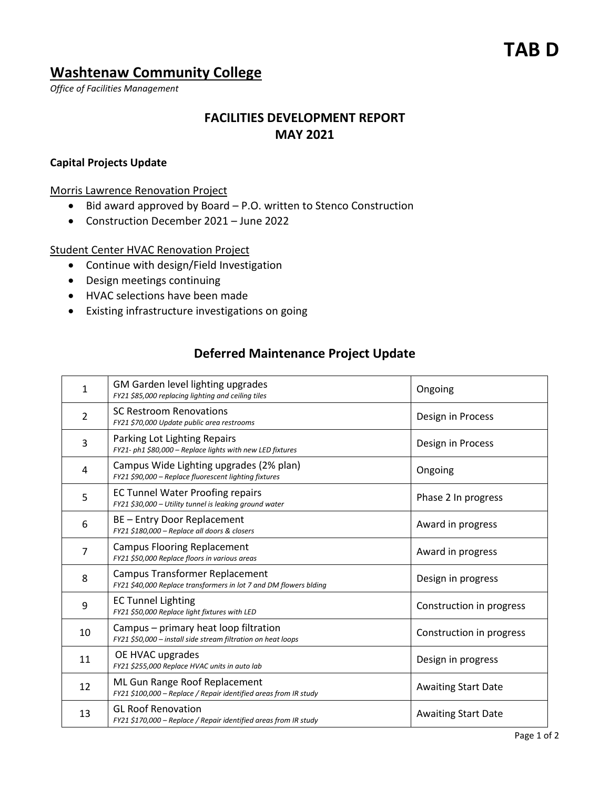# **TAB D**

## **Washtenaw Community College**

*Office of Facilities Management*

# **FACILITIES DEVELOPMENT REPORT MAY 2021**

#### **Capital Projects Update**

Morris Lawrence Renovation Project

- Bid award approved by Board P.O. written to Stenco Construction
- Construction December 2021 June 2022

#### Student Center HVAC Renovation Project

- Continue with design/Field Investigation
- Design meetings continuing
- HVAC selections have been made
- Existing infrastructure investigations on going

### **Deferred Maintenance Project Update**

| 1              | GM Garden level lighting upgrades<br>FY21 \$85,000 replacing lighting and ceiling tiles | Ongoing                    |
|----------------|-----------------------------------------------------------------------------------------|----------------------------|
|                | <b>SC Restroom Renovations</b>                                                          |                            |
| $\overline{2}$ | FY21 \$70,000 Update public area restrooms                                              | Design in Process          |
| 3              | Parking Lot Lighting Repairs                                                            |                            |
|                | FY21- ph1 \$80,000 - Replace lights with new LED fixtures                               | Design in Process          |
| 4              | Campus Wide Lighting upgrades (2% plan)                                                 | Ongoing                    |
|                | FY21 \$90,000 - Replace fluorescent lighting fixtures                                   |                            |
| 5              | <b>EC Tunnel Water Proofing repairs</b>                                                 | Phase 2 In progress        |
|                | FY21 \$30,000 - Utility tunnel is leaking ground water                                  |                            |
| 6              | BE - Entry Door Replacement                                                             | Award in progress          |
|                | FY21 \$180,000 - Replace all doors & closers                                            |                            |
| $\overline{7}$ | <b>Campus Flooring Replacement</b>                                                      | Award in progress          |
|                | FY21 \$50,000 Replace floors in various areas                                           |                            |
| 8              | <b>Campus Transformer Replacement</b>                                                   | Design in progress         |
|                | FY21 \$40,000 Replace transformers in lot 7 and DM flowers blding                       |                            |
| 9              | <b>EC Tunnel Lighting</b>                                                               | Construction in progress   |
|                | FY21 \$50,000 Replace light fixtures with LED                                           |                            |
| 10             | Campus - primary heat loop filtration                                                   | Construction in progress   |
|                | FY21 \$50,000 - install side stream filtration on heat loops                            |                            |
| 11             | OE HVAC upgrades                                                                        | Design in progress         |
|                | FY21 \$255,000 Replace HVAC units in auto lab                                           |                            |
| 12             | ML Gun Range Roof Replacement                                                           | <b>Awaiting Start Date</b> |
|                | FY21 \$100,000 - Replace / Repair identified areas from IR study                        |                            |
| 13             | <b>GL Roof Renovation</b>                                                               | <b>Awaiting Start Date</b> |
|                | FY21 \$170,000 - Replace / Repair identified areas from IR study                        |                            |